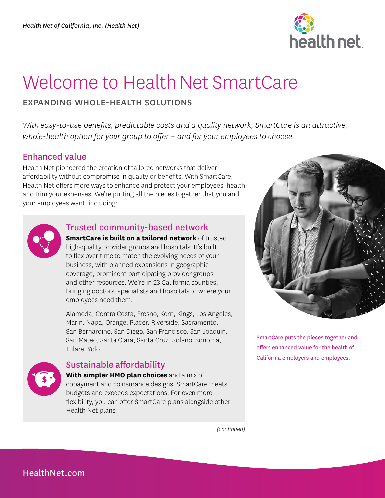

# Welcome to Health Net SmartCare

#### EXPANDING WHOLE-HEALTH SOLUTIONS

*With easy-to-use benefits, predictable costs and a quality network, SmartCare is an attractive, whole-health option for your group to offer – and for your employees to choose.* 

#### Enhanced value

Health Net pioneered the creation of tailored networks that deliver affordability without compromise in quality or benefits. With SmartCare, Health Net offers more ways to enhance and protect your employees' health and trim your expenses. We're putting all the pieces together that you and your employees want, including:



#### Trusted community-based network

**SmartCare is built on a tailored network** of trusted, high-quality provider groups and hospitals. It's built to flex over time to match the evolving needs of your business, with planned expansions in geographic coverage, prominent participating provider groups and other resources. We're in 23 California counties, bringing doctors, specialists and hospitals to where your employees need them:

Alameda, Contra Costa, Fresno, Kern, Kings, Los Angeles, Marin, Napa, Orange, Placer, Riverside, Sacramento, San Bernardino, San Diego, San Francisco, San Joaquin, San Mateo, Santa Clara, Santa Cruz, Solano, Sonoma, Tulare, Yolo



### Sustainable affordability

**With simpler HMO plan choices** and a mix of copayment and coinsurance designs, SmartCare meets budgets and exceeds expectations. For even more flexibility, you can offer SmartCare plans alongside other Health Net plans.

SmartCare puts the pieces together and offers enhanced value for the health of California employers and employees.

*(continued)*